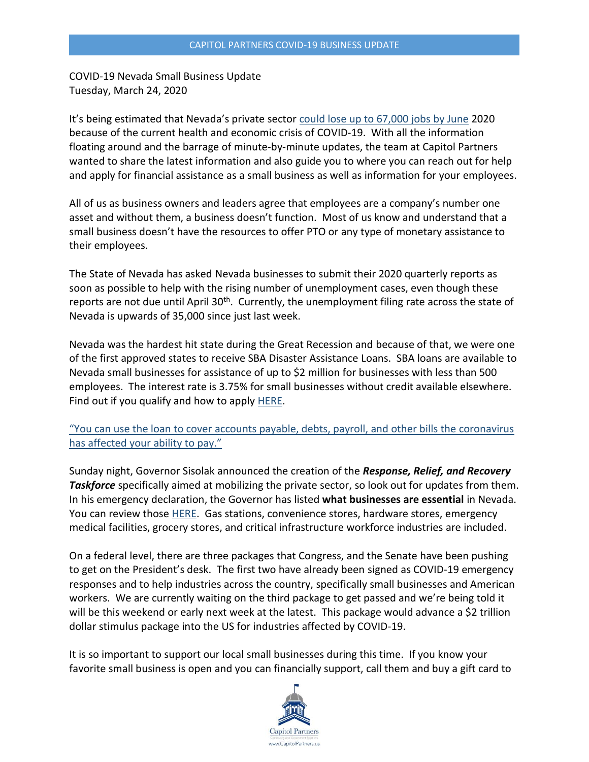COVID-19 Nevada Small Business Update Tuesday, March 24, 2020

It's being estimated that Nevada's private sector [could lose up to 67,000 jobs by June](https://www.rgj.com/story/news/2020/03/23/coronavirus-and-how-it-is-affecting-nevada-including-reno-sparks-carson-city-and-las-vegas/2898328001/) 2020 because of the current health and economic crisis of COVID-19. With all the information floating around and the barrage of minute-by-minute updates, the team at Capitol Partners wanted to share the latest information and also guide you to where you can reach out for help and apply for financial assistance as a small business as well as information for your employees.

All of us as business owners and leaders agree that employees are a company's number one asset and without them, a business doesn't function. Most of us know and understand that a small business doesn't have the resources to offer PTO or any type of monetary assistance to their employees.

The State of Nevada has asked Nevada businesses to submit their 2020 quarterly reports as soon as possible to help with the rising number of unemployment cases, even though these reports are not due until April 30<sup>th</sup>. Currently, the unemployment filing rate across the state of Nevada is upwards of 35,000 since just last week.

Nevada was the hardest hit state during the Great Recession and because of that, we were one of the first approved states to receive SBA Disaster Assistance Loans. SBA loans are available to Nevada small businesses for assistance of up to \$2 million for businesses with less than 500 employees. The interest rate is 3.75% for small businesses without credit available elsewhere. Find out if you qualify and how to apply **HERE**.

["You can use the loan to cover accounts payable, debts, payroll, and other bills the coronavirus](https://www.forbes.com/sites/advisor/2020/03/20/list-of-coronavirus-covid-19-small-business-relief-programs/#40da25dae89d)  [has affected your](https://www.forbes.com/sites/advisor/2020/03/20/list-of-coronavirus-covid-19-small-business-relief-programs/#40da25dae89d) ability to pay."

Sunday night, Governor Sisolak announced the creation of the *Response, Relief, and Recovery*  **Taskforce** specifically aimed at mobilizing the private sector, so look out for updates from them. In his emergency declaration, the Governor has listed **what businesses are essential** in Nevada. You can review those [HERE.](http://gov.nv.gov/News/Emergency_Orders/2020/2020-03-20_-_COVID-19_Declaration_of_Emergency_Directive_003/) Gas stations, convenience stores, hardware stores, emergency medical facilities, grocery stores, and critical infrastructure workforce industries are included.

On a federal level, there are three packages that Congress, and the Senate have been pushing to get on the President's desk. The first two have already been signed as COVID-19 emergency responses and to help industries across the country, specifically small businesses and American workers. We are currently waiting on the third package to get passed and we're being told it will be this weekend or early next week at the latest. This package would advance a \$2 trillion dollar stimulus package into the US for industries affected by COVID-19.

It is so important to support our local small businesses during this time. If you know your favorite small business is open and you can financially support, call them and buy a gift card to